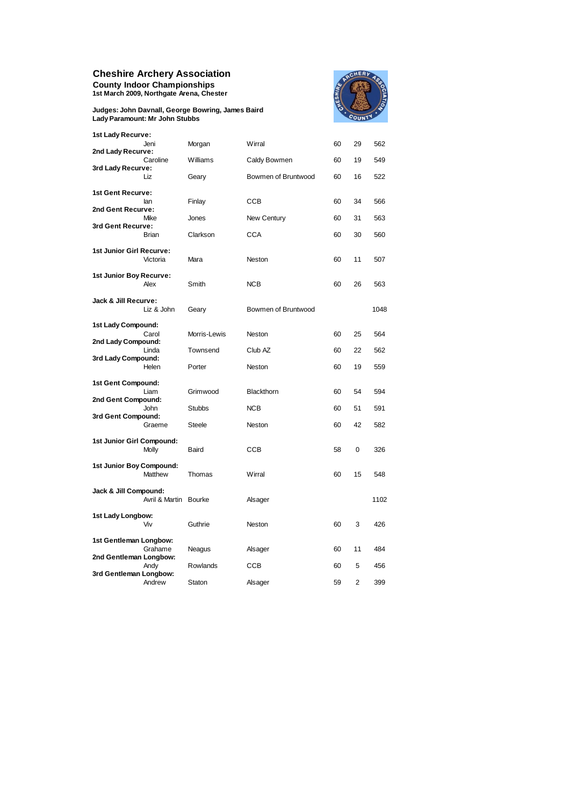## **Cheshire Archery Association**

**County Indoor Championships 1st March 2009, Northgate Arena, Chester**

**Judges: John Davnall, George Bowring, James Baird Lady Paramount: Mr John Stubbs**



| 1st Lady Recurve:         | Jeni           | Morgan        | Wirral              | 60 | 29 | 562  |
|---------------------------|----------------|---------------|---------------------|----|----|------|
| 2nd Lady Recurve:         |                |               |                     |    |    |      |
| 3rd Lady Recurve:         | Caroline       | Williams      | Caldy Bowmen        | 60 | 19 | 549  |
|                           | Liz            | Geary         | Bowmen of Bruntwood | 60 | 16 | 522  |
| 1st Gent Recurve:         |                |               |                     |    |    |      |
| 2nd Gent Recurve:         | lan            | Finlay        | <b>CCB</b>          | 60 | 34 | 566  |
| 3rd Gent Recurve:         | Mike           | Jones         | <b>New Century</b>  | 60 | 31 | 563  |
|                           | Brian          | Clarkson      | CCA                 | 60 | 30 | 560  |
| 1st Junior Girl Recurve:  |                |               |                     |    |    |      |
|                           | Victoria       | Mara          | Neston              | 60 | 11 | 507  |
| 1st Junior Boy Recurve:   | Alex           | Smith         | <b>NCB</b>          | 60 | 26 | 563  |
|                           |                |               |                     |    |    |      |
| Jack & Jill Recurve:      | Liz & John     | Geary         | Bowmen of Bruntwood |    |    | 1048 |
| 1st Lady Compound:        |                |               |                     |    |    |      |
| 2nd Lady Compound:        | Carol          | Morris-Lewis  | Neston              | 60 | 25 | 564  |
| 3rd Lady Compound:        | Linda          | Townsend      | Club AZ             | 60 | 22 | 562  |
|                           | Helen          | Porter        | Neston              | 60 | 19 | 559  |
| 1st Gent Compound:        |                |               |                     |    |    |      |
| 2nd Gent Compound:        | Liam           | Grimwood      | <b>Blackthorn</b>   | 60 | 54 | 594  |
|                           | John           | <b>Stubbs</b> | <b>NCB</b>          | 60 | 51 | 591  |
| 3rd Gent Compound:        |                |               |                     |    |    |      |
|                           | Graeme         | Steele        | Neston              | 60 | 42 | 582  |
| 1st Junior Girl Compound: |                |               |                     |    |    |      |
|                           | Molly          | Baird         | CCB                 | 58 | 0  | 326  |
| 1st Junior Boy Compound:  | Matthew        | Thomas        | Wirral              | 60 | 15 | 548  |
|                           |                |               |                     |    |    |      |
| Jack & Jill Compound:     | Avril & Martin | <b>Bourke</b> | Alsager             |    |    | 1102 |
| 1st Lady Longbow:         |                |               |                     |    |    |      |
|                           | Viv            | Guthrie       | Neston              | 60 | 3  | 426  |
| 1st Gentleman Longbow:    |                |               |                     |    |    |      |
| 2nd Gentleman Longbow:    | Grahame        | Neagus        | Alsager             | 60 | 11 | 484  |
|                           | Andy           | Rowlands      | CCB                 | 60 | 5  | 456  |
| 3rd Gentleman Longbow:    | Andrew         | Staton        | Alsager             | 59 | 2  | 399  |